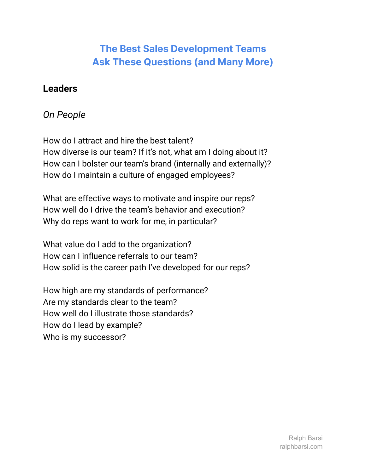### **Leaders**

#### *On People*

How do I attract and hire the best talent? How diverse is our team? If it's not, what am I doing about it? How can I bolster our team's brand (internally and externally)? How do I maintain a culture of engaged employees?

What are effective ways to motivate and inspire our reps? How well do I drive the team's behavior and execution? Why do reps want to work for me, in particular?

What value do I add to the organization? How can I influence referrals to our team? How solid is the career path I've developed for our reps?

How high are my standards of performance? Are my standards clear to the team? How well do I illustrate those standards? How do I lead by example? Who is my successor?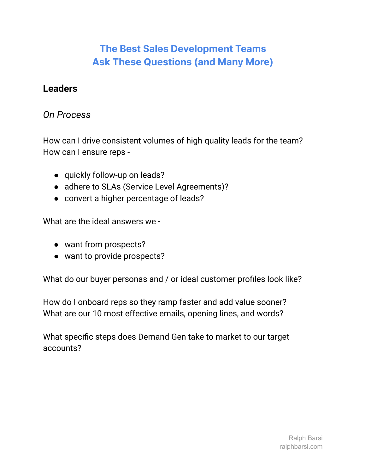#### **Leaders**

#### *On Process*

How can I drive consistent volumes of high-quality leads for the team? How can I ensure reps -

- quickly follow-up on leads?
- adhere to SLAs (Service Level Agreements)?
- convert a higher percentage of leads?

What are the ideal answers we -

- want from prospects?
- want to provide prospects?

What do our buyer personas and / or ideal customer profiles look like?

How do I onboard reps so they ramp faster and add value sooner? What are our 10 most effective emails, opening lines, and words?

What specific steps does Demand Gen take to market to our target accounts?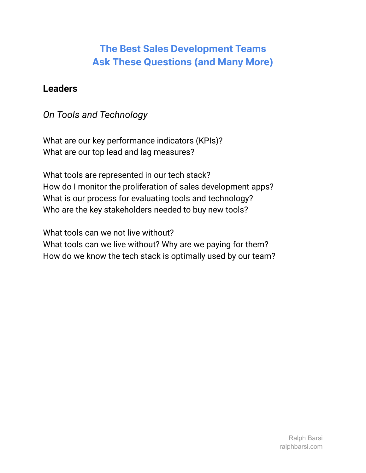### **Leaders**

### *On Tools and Technology*

What are our key performance indicators (KPIs)? What are our top lead and lag measures?

What tools are represented in our tech stack? How do I monitor the proliferation of sales development apps? What is our process for evaluating tools and technology? Who are the key stakeholders needed to buy new tools?

What tools can we not live without? What tools can we live without? Why are we paying for them? How do we know the tech stack is optimally used by our team?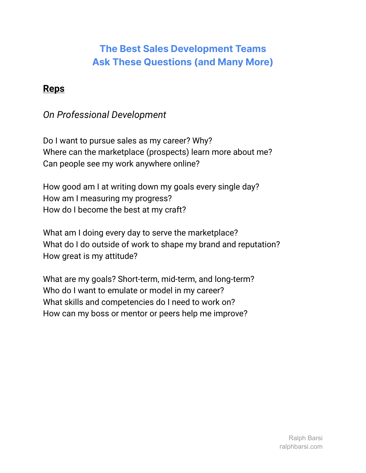### **Reps**

### *On Professional Development*

Do I want to pursue sales as my career? Why? Where can the marketplace (prospects) learn more about me? Can people see my work anywhere online?

How good am I at writing down my goals every single day? How am I measuring my progress? How do I become the best at my craft?

What am I doing every day to serve the marketplace? What do I do outside of work to shape my brand and reputation? How great is my attitude?

What are my goals? Short-term, mid-term, and long-term? Who do I want to emulate or model in my career? What skills and competencies do I need to work on? How can my boss or mentor or peers help me improve?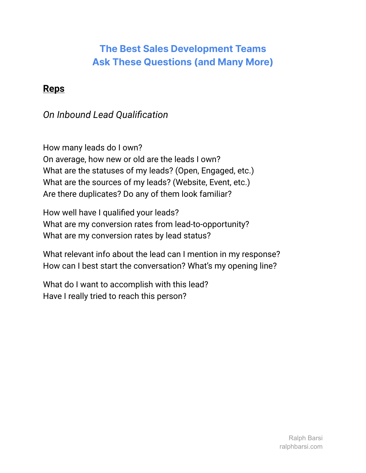### **Reps**

# *On Inbound Lead Qualification*

How many leads do I own? On average, how new or old are the leads I own? What are the statuses of my leads? (Open, Engaged, etc.) What are the sources of my leads? (Website, Event, etc.) Are there duplicates? Do any of them look familiar?

How well have I qualified your leads? What are my conversion rates from lead-to-opportunity? What are my conversion rates by lead status?

What relevant info about the lead can I mention in my response? How can I best start the conversation? What's my opening line?

What do I want to accomplish with this lead? Have I really tried to reach this person?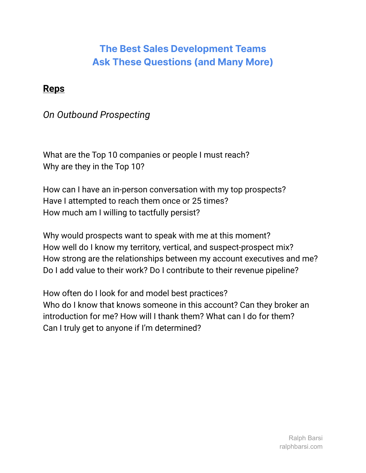### **Reps**

### *On Outbound Prospecting*

What are the Top 10 companies or people I must reach? Why are they in the Top 10?

How can I have an in-person conversation with my top prospects? Have I attempted to reach them once or 25 times? How much am I willing to tactfully persist?

Why would prospects want to speak with me at this moment? How well do I know my territory, vertical, and suspect-prospect mix? How strong are the relationships between my account executives and me? Do I add value to their work? Do I contribute to their revenue pipeline?

How often do I look for and model best practices? Who do I know that knows someone in this account? Can they broker an introduction for me? How will I thank them? What can I do for them? Can I truly get to anyone if I'm determined?